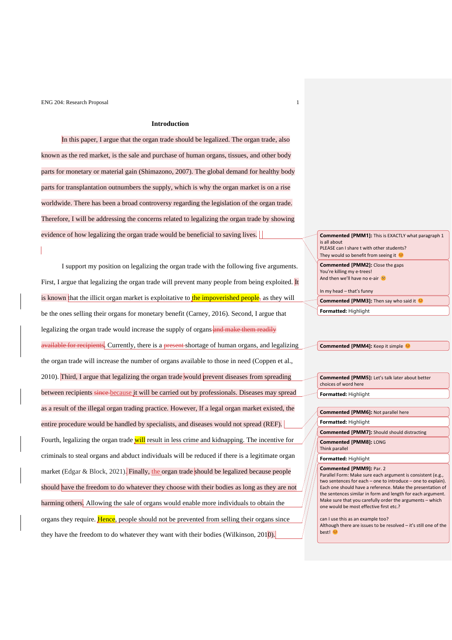## **Introduction**

In this paper, I argue that the organ trade should be legalized. The organ trade, also known as the red market, is the sale and purchase of human organs, tissues, and other body parts for monetary or material gain (Shimazono, 2007). The global demand for healthy body parts for transplantation outnumbers the supply, which is why the organ market is on a rise worldwide. There has been a broad controversy regarding the legislation of the organ trade. Therefore, I will be addressing the concerns related to legalizing the organ trade by showing evidence of how legalizing the organ trade would be beneficial to saving lives.

I support my position on legalizing the organ trade with the following five arguments. First, I argue that legalizing the organ trade will prevent many people from being exploited. It is known that the illicit organ market is exploitative to the impoverished people, as they will be the ones selling their organs for monetary benefit (Carney, 2016). Second, I argue that legalizing the organ trade would increase the supply of organs and make them readily available for recipients. Currently, there is a present shortage of human organs, and legalizing the organ trade will increase the number of organs available to those in need (Coppen et al., 2010). Third, I argue that legalizing the organ trade would prevent diseases from spreading between recipients since because it will be carried out by professionals. Diseases may spread as a result of the illegal organ trading practice. However, If a legal organ market existed, the entire procedure would be handled by specialists, and diseases would not spread (REF). Fourth, legalizing the organ trade will result in less crime and kidnapping. The incentive for criminals to steal organs and abduct individuals will be reduced if there is a legitimate organ market (Edgar & Block, 2021). Finally, the organ trade should be legalized because people should have the freedom to do whatever they choose with their bodies as long as they are not harming others. Allowing the sale of organs would enable more individuals to obtain the organs they require. Hence, people should not be prevented from selling their organs since they have the freedom to do whatever they want with their bodies (Wilkinson, 2010).

#### **Commented [PMM1]:** This is EXACTLY what paragraph 1 is all about PLEASE can I share t with other students?

They would so benefit from seeing it

**Commented [PMM2]:** Close the gaps You're killing my e-trees! And then we'll have no e-air

In my head – that's funny

**Commented [PMM3]:** Then say who said it  $\heartsuit$ 

**Formatted:** Highlight

#### **Commented [PMM4]:** Keep it simple

**Commented [PMM5]:** Let's talk later about better choices of word here **Formatted:** Highlight

| <b>Commented [PMM6]: Not parallel here</b>                                                                                                                                                                                   |
|------------------------------------------------------------------------------------------------------------------------------------------------------------------------------------------------------------------------------|
| <b>Formatted: Highlight</b>                                                                                                                                                                                                  |
| <b>Commented [PMM7]:</b> Should should distracting                                                                                                                                                                           |
| Commented [PMM8]: LONG<br>Think parallel                                                                                                                                                                                     |
| Formatted: Highlight                                                                                                                                                                                                         |
| <b>Commented [PMM9]: Par. 2</b><br>Parallel Form: Make sure each argument is consistent (e.g.,<br>two sentences for each - one to introduce - one to explain).<br>Each one should have a reference. Make the presentation of |

Each one should have a reference. Make the presentation of the sentences similar in form and length for each argument. Make sure that you carefully order the arguments – which one would be most effective first etc.?

can I use this as an example too? Although there are issues to be resolved – it's still one of the best! €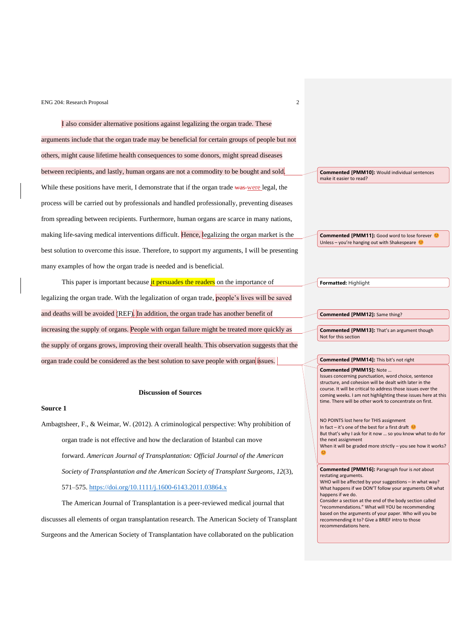I also consider alternative positions against legalizing the organ trade. These arguments include that the organ trade may be beneficial for certain groups of people but not others, might cause lifetime health consequences to some donors, might spread diseases between recipients, and lastly, human organs are not a commodity to be bought and sold. While these positions have merit, I demonstrate that if the organ trade was were legal, the process will be carried out by professionals and handled professionally, preventing diseases from spreading between recipients. Furthermore, human organs are scarce in many nations, making life-saving medical interventions difficult. Hence, legalizing the organ market is the best solution to overcome this issue. Therefore, to support my arguments, I will be presenting many examples of how the organ trade is needed and is beneficial.

This paper is important because it persuades the readers on the importance of legalizing the organ trade. With the legalization of organ trade, people's lives will be saved and deaths will be avoided (REF). In addition, the organ trade has another benefit of increasing the supply of organs. People with organ failure might be treated more quickly as the supply of organs grows, improving their overall health. This observation suggests that the organ trade could be considered as the best solution to save people with organ issues.

#### **Discussion of Sources**

#### **Source 1**

Ambagtsheer, F., & Weimar, W. (2012). A criminological perspective: Why prohibition of organ trade is not effective and how the declaration of Istanbul can move forward. *American Journal of Transplantation: Official Journal of the American Society of Transplantation and the American Society of Transplant Surgeons*, *12*(3), 571–575.<https://doi.org/10.1111/j.1600-6143.2011.03864.x>

The American Journal of Transplantation is a peer-reviewed medical journal that discusses all elements of organ transplantation research. The American Society of Transplant Surgeons and the American Society of Transplantation have collaborated on the publication

**Commented [PMM10]:** Would individual sentences make it easier to read?

**Commented [PMM11]:** Good word to lose forever Unless – you're hanging out with Shakespeare

**Formatted:** Highlight

**Commented [PMM12]:** Same thing?

**Commented [PMM13]:** That's an argument though Not for this section

#### **Commented [PMM14]:** This bit's not right

**Commented [PMM15]:** Note …

Issues concerning punctuation, word choice, sentence structure, and cohesion will be dealt with later in the course. It will be critical to address those issues over the coming weeks. I am not highlighting these issues here at this time. There will be other work to concentrate on first.

NO POINTS lost here for THIS assignment In fact – it's one of the best for a first draft  $\bullet$ But that's why I ask for it now … so you know what to do for the next assignment When it will be graded more strictly – you see how it works? C

**Commented [PMM16]:** Paragraph four is *not* about restating arguments.

WHO will be affected by your suggestions – in what way? What happens if we DON'T follow your arguments OR what happens if we do.

Consider a section at the end of the body section called "recommendations." What will YOU be recommending based on the arguments of your paper. Who will you be recommending it to? Give a BRIEF intro to those recommendations here.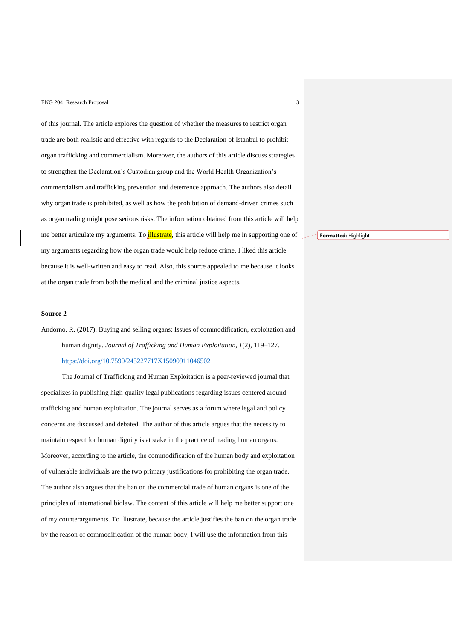of this journal. The article explores the question of whether the measures to restrict organ trade are both realistic and effective with regards to the Declaration of Istanbul to prohibit organ trafficking and commercialism. Moreover, the authors of this article discuss strategies to strengthen the Declaration's Custodian group and the World Health Organization's commercialism and trafficking prevention and deterrence approach. The authors also detail why organ trade is prohibited, as well as how the prohibition of demand-driven crimes such as organ trading might pose serious risks. The information obtained from this article will help me better articulate my arguments. To *illustrate*, this article will help me in supporting one of my arguments regarding how the organ trade would help reduce crime. I liked this article because it is well-written and easy to read. Also, this source appealed to me because it looks at the organ trade from both the medical and the criminal justice aspects.

## **Source 2**

Andorno, R. (2017). Buying and selling organs: Issues of commodification, exploitation and human dignity. *Journal of Trafficking and Human Exploitation*, *1*(2), 119–127. <https://doi.org/10.7590/245227717X15090911046502>

The Journal of Trafficking and Human Exploitation is a peer-reviewed journal that specializes in publishing high-quality legal publications regarding issues centered around trafficking and human exploitation. The journal serves as a forum where legal and policy concerns are discussed and debated. The author of this article argues that the necessity to maintain respect for human dignity is at stake in the practice of trading human organs. Moreover, according to the article, the commodification of the human body and exploitation of vulnerable individuals are the two primary justifications for prohibiting the organ trade. The author also argues that the ban on the commercial trade of human organs is one of the principles of international biolaw. The content of this article will help me better support one of my counterarguments. To illustrate, because the article justifies the ban on the organ trade by the reason of commodification of the human body, I will use the information from this

**Formatted:** Highlight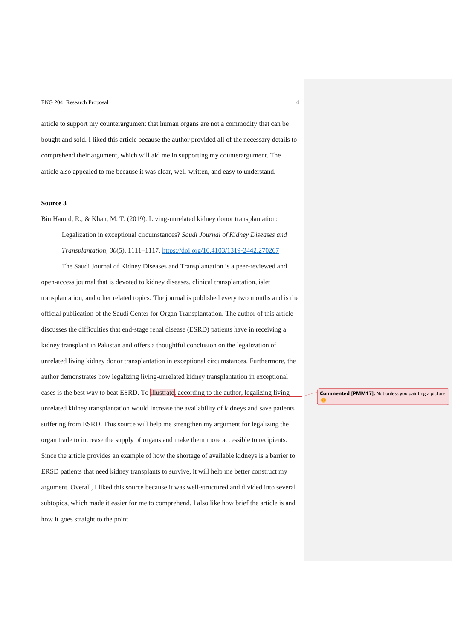article to support my counterargument that human organs are not a commodity that can be bought and sold. I liked this article because the author provided all of the necessary details to comprehend their argument, which will aid me in supporting my counterargument. The article also appealed to me because it was clear, well-written, and easy to understand.

## **Source 3**

Bin Hamid, R., & Khan, M. T. (2019). Living-unrelated kidney donor transplantation: Legalization in exceptional circumstances? *Saudi Journal of Kidney Diseases and* 

*Transplantation*, *30*(5), 1111–1117.<https://doi.org/10.4103/1319-2442.270267>

The Saudi Journal of Kidney Diseases and Transplantation is a peer-reviewed and open-access journal that is devoted to kidney diseases, clinical transplantation, islet transplantation, and other related topics. The journal is published every two months and is the official publication of the Saudi Center for Organ Transplantation. The author of this article discusses the difficulties that end-stage renal disease (ESRD) patients have in receiving a kidney transplant in Pakistan and offers a thoughtful conclusion on the legalization of unrelated living kidney donor transplantation in exceptional circumstances. Furthermore, the author demonstrates how legalizing living-unrelated kidney transplantation in exceptional cases is the best way to beat ESRD. To illustrate, according to the author, legalizing livingunrelated kidney transplantation would increase the availability of kidneys and save patients suffering from ESRD. This source will help me strengthen my argument for legalizing the organ trade to increase the supply of organs and make them more accessible to recipients. Since the article provides an example of how the shortage of available kidneys is a barrier to ERSD patients that need kidney transplants to survive, it will help me better construct my argument. Overall, I liked this source because it was well-structured and divided into several subtopics, which made it easier for me to comprehend. I also like how brief the article is and how it goes straight to the point.

**Commented [PMM17]:** Not unless you painting a picture

C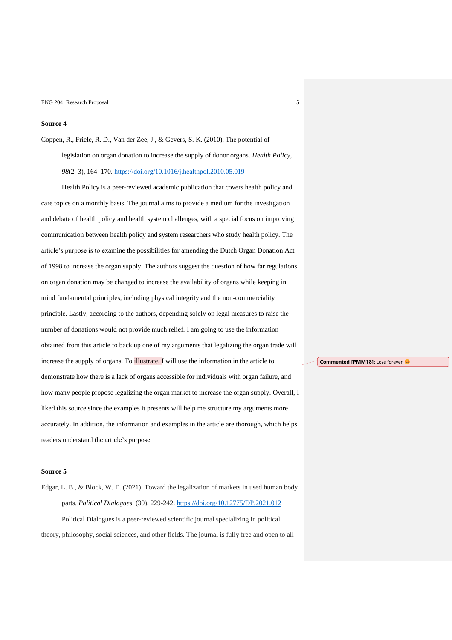## **Source 4**

Coppen, R., Friele, R. D., Van der Zee, J., & Gevers, S. K. (2010). The potential of legislation on organ donation to increase the supply of donor organs. *Health Policy*, *98*(2–3), 164–170.<https://doi.org/10.1016/j.healthpol.2010.05.019>

Health Policy is a peer-reviewed academic publication that covers health policy and care topics on a monthly basis. The journal aims to provide a medium for the investigation and debate of health policy and health system challenges, with a special focus on improving communication between health policy and system researchers who study health policy. The article's purpose is to examine the possibilities for amending the Dutch Organ Donation Act of 1998 to increase the organ supply. The authors suggest the question of how far regulations on organ donation may be changed to increase the availability of organs while keeping in mind fundamental principles, including physical integrity and the non-commerciality principle. Lastly, according to the authors, depending solely on legal measures to raise the number of donations would not provide much relief. I am going to use the information obtained from this article to back up one of my arguments that legalizing the organ trade will increase the supply of organs. To *illustrate*, I will use the information in the article to demonstrate how there is a lack of organs accessible for individuals with organ failure, and how many people propose legalizing the organ market to increase the organ supply. Overall, I liked this source since the examples it presents will help me structure my arguments more accurately. In addition, the information and examples in the article are thorough, which helps readers understand the article's purpose.

## **Source 5**

Edgar, L. B., & Block, W. E. (2021). Toward the legalization of markets in used human body parts. *Political Dialogues*, (30), 229-242.<https://doi.org/10.12775/DP.2021.012> Political Dialogues is a peer-reviewed scientific journal specializing in political theory, philosophy, social sciences, and other fields. The journal is fully free and open to all

**Commented [PMM18]:** Lose forever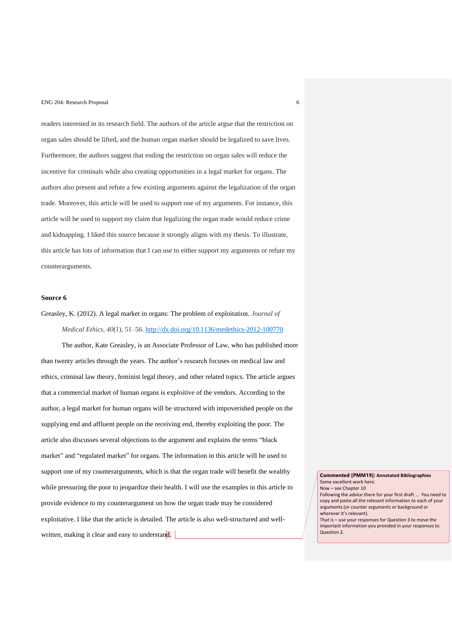readers interested in its research field. The authors of the article argue that the restriction on organ sales should be lifted, and the human organ market should be legalized to save lives. Furthermore, the authors suggest that ending the restriction on organ sales will reduce the incentive for criminals while also creating opportunities in a legal market for organs. The authors also present and refute a few existing arguments against the legalization of the organ trade. Moreover, this article will be used to support one of my arguments. For instance, this article will be used to support my claim that legalizing the organ trade would reduce crime and kidnapping. I liked this source because it strongly aligns with my thesis. To illustrate, this article has lots of information that I can use to either support my arguments or refute my counterarguments.

### **Source 6**

# Greasley, K. (2012). A legal market in organs: The problem of exploitation. *Journal of Medical Ethics*, *40*(1), 51–56.<http://dx.doi.org/10.1136/medethics-2012-100770>

The author, Kate Greasley, is an Associate Professor of Law, who has published more than twenty articles through the years. The author's research focuses on medical law and ethics, criminal law theory, feminist legal theory, and other related topics. The article argues that a commercial market of human organs is exploitive of the vendors. According to the author, a legal market for human organs will be structured with impoverished people on the supplying end and affluent people on the receiving end, thereby exploiting the poor. The article also discusses several objections to the argument and explains the terms "black market" and "regulated market" for organs. The information in this article will be used to support one of my counterarguments, which is that the organ trade will benefit the wealthy while pressuring the poor to jeopardize their health. I will use the examples in this article to provide evidence to my counterargument on how the organ trade may be considered exploitative. I like that the article is detailed. The article is also well-structured and wellwritten, making it clear and easy to understand.

**Commented [PMM19]: Annotated Bibliographies** Some excellent work here. Now – see Chapter 10 Following the advice there for your first draft … You need to copy and paste all the relevant information to each of your arguments (or counter arguments or background or wherever it's relevant). That is – use your responses for Question 3 to move the important information you provided in your responses to Question 2.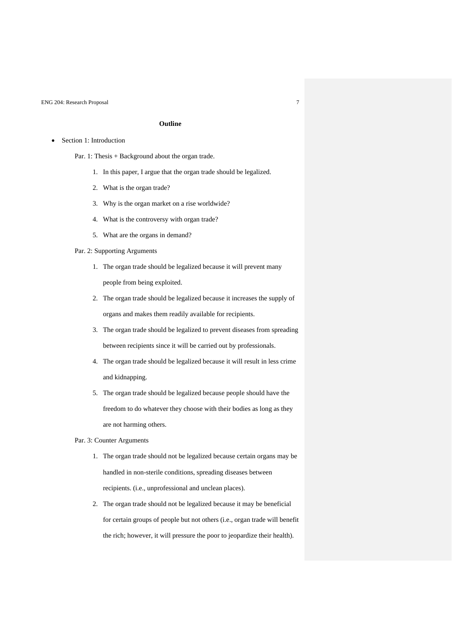## **Outline**

- Section 1: Introduction
	- Par. 1: Thesis + Background about the organ trade.
		- 1. In this paper, I argue that the organ trade should be legalized.
		- 2. What is the organ trade?
		- 3. Why is the organ market on a rise worldwide?
		- 4. What is the controversy with organ trade?
		- 5. What are the organs in demand?

### Par. 2: Supporting Arguments

- 1. The organ trade should be legalized because it will prevent many people from being exploited.
- 2. The organ trade should be legalized because it increases the supply of organs and makes them readily available for recipients.
- 3. The organ trade should be legalized to prevent diseases from spreading between recipients since it will be carried out by professionals.
- 4. The organ trade should be legalized because it will result in less crime and kidnapping.
- 5. The organ trade should be legalized because people should have the freedom to do whatever they choose with their bodies as long as they are not harming others.

## Par. 3: Counter Arguments

- 1. The organ trade should not be legalized because certain organs may be handled in non-sterile conditions, spreading diseases between recipients. (i.e., unprofessional and unclean places).
- 2. The organ trade should not be legalized because it may be beneficial for certain groups of people but not others (i.e., organ trade will benefit the rich; however, it will pressure the poor to jeopardize their health).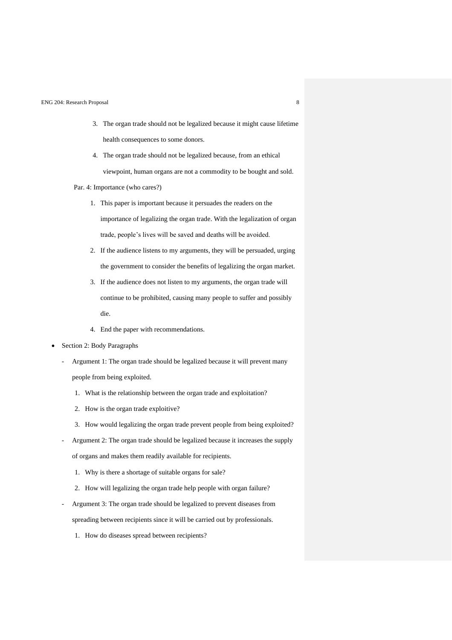- 3. The organ trade should not be legalized because it might cause lifetime health consequences to some donors.
- 4. The organ trade should not be legalized because, from an ethical viewpoint, human organs are not a commodity to be bought and sold.

Par. 4: Importance (who cares?)

- 1. This paper is important because it persuades the readers on the importance of legalizing the organ trade. With the legalization of organ trade, people's lives will be saved and deaths will be avoided.
- 2. If the audience listens to my arguments, they will be persuaded, urging the government to consider the benefits of legalizing the organ market.
- 3. If the audience does not listen to my arguments, the organ trade will continue to be prohibited, causing many people to suffer and possibly die.
- 4. End the paper with recommendations.
- Section 2: Body Paragraphs
	- Argument 1: The organ trade should be legalized because it will prevent many people from being exploited.
		- 1. What is the relationship between the organ trade and exploitation?
		- 2. How is the organ trade exploitive?
		- 3. How would legalizing the organ trade prevent people from being exploited?
	- Argument 2: The organ trade should be legalized because it increases the supply of organs and makes them readily available for recipients.
		- 1. Why is there a shortage of suitable organs for sale?
		- 2. How will legalizing the organ trade help people with organ failure?
	- Argument 3: The organ trade should be legalized to prevent diseases from spreading between recipients since it will be carried out by professionals.
		- 1. How do diseases spread between recipients?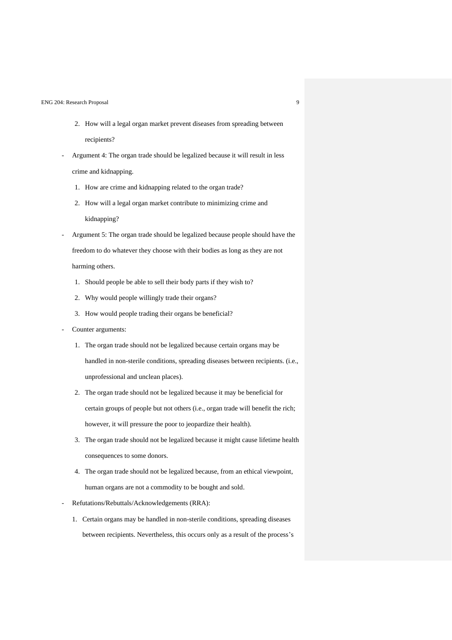- 2. How will a legal organ market prevent diseases from spreading between recipients?
- Argument 4: The organ trade should be legalized because it will result in less crime and kidnapping.
	- 1. How are crime and kidnapping related to the organ trade?
	- 2. How will a legal organ market contribute to minimizing crime and kidnapping?
- Argument 5: The organ trade should be legalized because people should have the freedom to do whatever they choose with their bodies as long as they are not harming others.
	- 1. Should people be able to sell their body parts if they wish to?
	- 2. Why would people willingly trade their organs?
	- 3. How would people trading their organs be beneficial?
- Counter arguments:
	- 1. The organ trade should not be legalized because certain organs may be handled in non-sterile conditions, spreading diseases between recipients. (i.e., unprofessional and unclean places).
	- 2. The organ trade should not be legalized because it may be beneficial for certain groups of people but not others (i.e., organ trade will benefit the rich; however, it will pressure the poor to jeopardize their health).
	- 3. The organ trade should not be legalized because it might cause lifetime health consequences to some donors.
	- 4. The organ trade should not be legalized because, from an ethical viewpoint, human organs are not a commodity to be bought and sold.
- Refutations/Rebuttals/Acknowledgements (RRA):
	- 1. Certain organs may be handled in non-sterile conditions, spreading diseases between recipients. Nevertheless, this occurs only as a result of the process's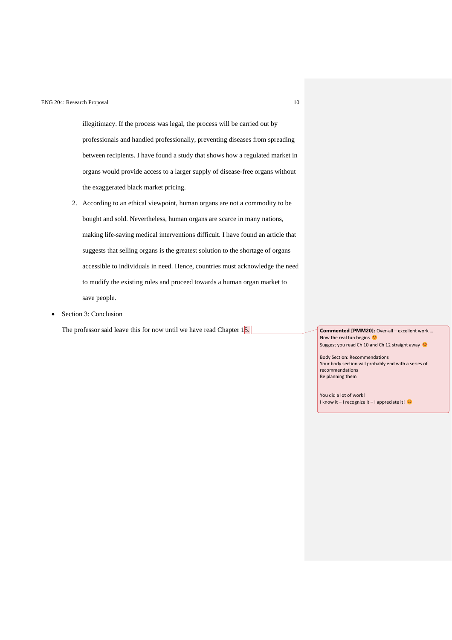illegitimacy. If the process was legal, the process will be carried out by professionals and handled professionally, preventing diseases from spreading between recipients. I have found a study that shows how a regulated market in organs would provide access to a larger supply of disease-free organs without the exaggerated black market pricing.

- 2. According to an ethical viewpoint, human organs are not a commodity to be bought and sold. Nevertheless, human organs are scarce in many nations, making life-saving medical interventions difficult. I have found an article that suggests that selling organs is the greatest solution to the shortage of organs accessible to individuals in need. Hence, countries must acknowledge the need to modify the existing rules and proceed towards a human organ market to save people.
- Section 3: Conclusion

The professor said leave this for now until we have read Chapter 15. **Commented [PMM20]:** Over-all – excellent work …

Now the real fun begins Suggest you read Ch 10 and Ch 12 straight away

Body Section: Recommendations Your body section will probably end with a series of recommendations Be planning them

You did a lot of work! I know it – I recognize it – I appreciate it!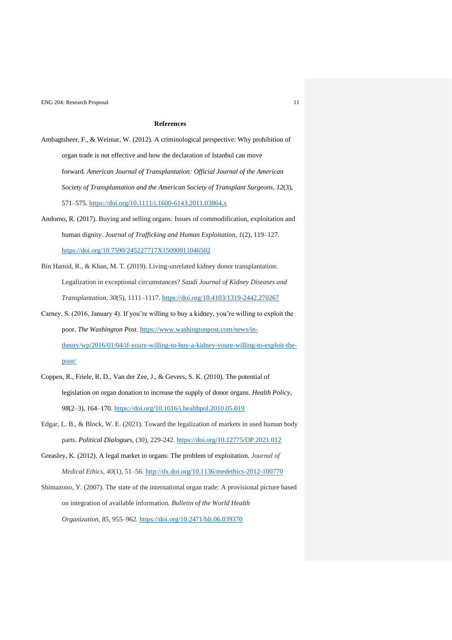# **References**

- Ambagtsheer, F., & Weimar, W. (2012). A criminological perspective: Why prohibition of organ trade is not effective and how the declaration of Istanbul can move forward. *American Journal of Transplantation: Official Journal of the American Society of Transplantation and the American Society of Transplant Surgeons*, *12*(3), 571–575.<https://doi.org/10.1111/j.1600-6143.2011.03864.x>
- Andorno, R. (2017). Buying and selling organs: Issues of commodification, exploitation and human dignity. *Journal of Trafficking and Human Exploitation*, *1*(2), 119–127. <https://doi.org/10.7590/245227717X15090911046502>
- Bin Hamid, R., & Khan, M. T. (2019). Living-unrelated kidney donor transplantation: Legalization in exceptional circumstances? *Saudi Journal of Kidney Diseases and Transplantation*, *30*(5), 1111–1117.<https://doi.org/10.4103/1319-2442.270267>
- Carney, S. (2016, January 4). If you're willing to buy a kidney, you're willing to exploit the poor. *The Washington Post*. [https://www.washingtonpost.com/news/in](https://www.washingtonpost.com/news/in-theory/wp/2016/01/04/if-youre-willing-to-buy-a-kidney-youre-willing-to-exploit-the-poor/)[theory/wp/2016/01/04/if-youre-willing-to-buy-a-kidney-youre-willing-to-exploit-the](https://www.washingtonpost.com/news/in-theory/wp/2016/01/04/if-youre-willing-to-buy-a-kidney-youre-willing-to-exploit-the-poor/)[poor/](https://www.washingtonpost.com/news/in-theory/wp/2016/01/04/if-youre-willing-to-buy-a-kidney-youre-willing-to-exploit-the-poor/)
- Coppen, R., Friele, R. D., Van der Zee, J., & Gevers, S. K. (2010). The potential of legislation on organ donation to increase the supply of donor organs. *Health Policy*, *98*(2–3), 164–170.<https://doi.org/10.1016/j.healthpol.2010.05.019>
- Edgar, L. B., & Block, W. E. (2021). Toward the legalization of markets in used human body parts. *Political Dialogues*, (30), 229-242.<https://doi.org/10.12775/DP.2021.012>
- Greasley, K. (2012). A legal market in organs: The problem of exploitation. *Journal of Medical Ethics*, *40*(1), 51–56.<http://dx.doi.org/10.1136/medethics-2012-100770>
- Shimazono, Y. (2007). The state of the international organ trade: A provisional picture based on integration of available information. *Bulletin of the World Health Organization*, *85*, 955–962. <https://doi.org/10.2471/blt.06.039370>